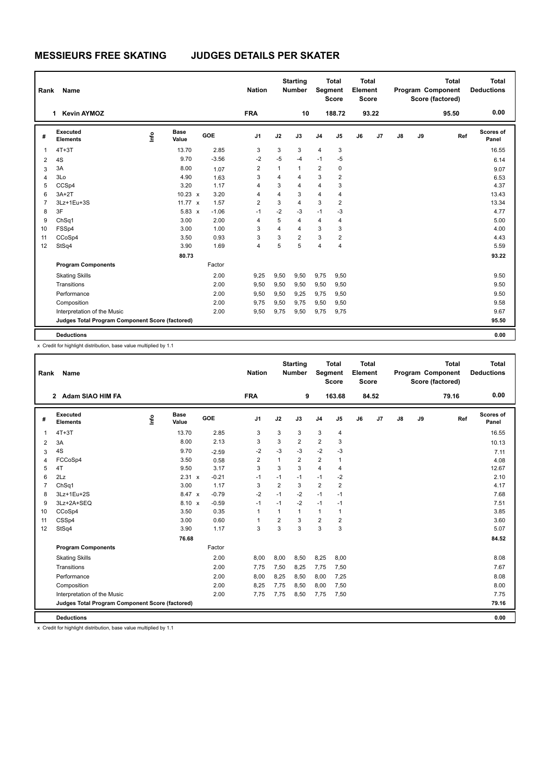| Rank           | Name                                            |      |                      |         | <b>Nation</b>  |      | <b>Starting</b><br><b>Number</b> |                | <b>Total</b><br>Segment<br><b>Score</b> | <b>Total</b><br>Element<br><b>Score</b> |                |    |    | <b>Total</b><br>Program Component<br>Score (factored) | <b>Total</b><br><b>Deductions</b> |
|----------------|-------------------------------------------------|------|----------------------|---------|----------------|------|----------------------------------|----------------|-----------------------------------------|-----------------------------------------|----------------|----|----|-------------------------------------------------------|-----------------------------------|
|                | <b>Kevin AYMOZ</b><br>1                         |      |                      |         | <b>FRA</b>     |      | 10                               |                | 188.72                                  |                                         | 93.22          |    |    | 95.50                                                 | 0.00                              |
| #              | Executed<br><b>Elements</b>                     | Info | <b>Base</b><br>Value | GOE     | J <sub>1</sub> | J2   | J3                               | J <sub>4</sub> | J <sub>5</sub>                          | J6                                      | J <sub>7</sub> | J8 | J9 | Ref                                                   | Scores of<br>Panel                |
| 1              | $4T+3T$                                         |      | 13.70                | 2.85    | 3              | 3    | 3                                | $\overline{4}$ | 3                                       |                                         |                |    |    |                                                       | 16.55                             |
| $\overline{2}$ | 4S                                              |      | 9.70                 | $-3.56$ | $-2$           | $-5$ | $-4$                             | $-1$           | $-5$                                    |                                         |                |    |    |                                                       | 6.14                              |
| 3              | 3A                                              |      | 8.00                 | 1.07    | $\overline{2}$ | 1    | $\mathbf{1}$                     | $\overline{2}$ | $\mathbf 0$                             |                                         |                |    |    |                                                       | 9.07                              |
| 4              | 3Lo                                             |      | 4.90                 | 1.63    | 3              | 4    | 4                                | 3              | $\overline{2}$                          |                                         |                |    |    |                                                       | 6.53                              |
| 5              | CCSp4                                           |      | 3.20                 | 1.17    | 4              | 3    | $\overline{4}$                   | 4              | 3                                       |                                         |                |    |    |                                                       | 4.37                              |
| 6              | $3A+2T$                                         |      | $10.23 \times$       | 3.20    | 4              | 4    | 3                                | $\overline{4}$ | 4                                       |                                         |                |    |    |                                                       | 13.43                             |
| $\overline{7}$ | 3Lz+1Eu+3S                                      |      | 11.77 x              | 1.57    | $\overline{2}$ | 3    | $\overline{4}$                   | 3              | $\overline{2}$                          |                                         |                |    |    |                                                       | 13.34                             |
| 8              | 3F                                              |      | $5.83 \times$        | $-1.06$ | $-1$           | $-2$ | -3                               | $-1$           | $-3$                                    |                                         |                |    |    |                                                       | 4.77                              |
| 9              | ChSq1                                           |      | 3.00                 | 2.00    | $\overline{4}$ | 5    | $\overline{4}$                   | $\overline{4}$ | $\overline{4}$                          |                                         |                |    |    |                                                       | 5.00                              |
| 10             | FSSp4                                           |      | 3.00                 | 1.00    | 3              | 4    | $\overline{4}$                   | 3              | 3                                       |                                         |                |    |    |                                                       | 4.00                              |
| 11             | CCoSp4                                          |      | 3.50                 | 0.93    | 3              | 3    | $\overline{2}$                   | 3              | 2                                       |                                         |                |    |    |                                                       | 4.43                              |
| 12             | StSq4                                           |      | 3.90                 | 1.69    | 4              | 5    | 5                                | $\overline{4}$ | $\overline{4}$                          |                                         |                |    |    |                                                       | 5.59                              |
|                |                                                 |      | 80.73                |         |                |      |                                  |                |                                         |                                         |                |    |    |                                                       | 93.22                             |
|                | <b>Program Components</b>                       |      |                      | Factor  |                |      |                                  |                |                                         |                                         |                |    |    |                                                       |                                   |
|                | <b>Skating Skills</b>                           |      |                      | 2.00    | 9,25           | 9,50 | 9,50                             | 9,75           | 9,50                                    |                                         |                |    |    |                                                       | 9.50                              |
|                | Transitions                                     |      |                      | 2.00    | 9,50           | 9,50 | 9,50                             | 9,50           | 9,50                                    |                                         |                |    |    |                                                       | 9.50                              |
|                | Performance                                     |      |                      | 2.00    | 9,50           | 9,50 | 9,25                             | 9,75           | 9,50                                    |                                         |                |    |    |                                                       | 9.50                              |
|                | Composition                                     |      |                      | 2.00    | 9,75           | 9,50 | 9,75                             | 9,50           | 9,50                                    |                                         |                |    |    |                                                       | 9.58                              |
|                | Interpretation of the Music                     |      |                      | 2.00    | 9,50           | 9,75 | 9,50                             | 9,75           | 9,75                                    |                                         |                |    |    |                                                       | 9.67                              |
|                | Judges Total Program Component Score (factored) |      |                      |         |                |      |                                  |                |                                         |                                         |                |    |    |                                                       | 95.50                             |
|                | <b>Deductions</b>                               |      |                      |         |                |      |                                  |                |                                         |                                         |                |    |    |                                                       | 0.00                              |

x Credit for highlight distribution, base value multiplied by 1.1

| Rank           | Name                                            |      |               |     |         | <b>Nation</b>  |                | <b>Starting</b><br><b>Number</b> | Segment        | <b>Total</b><br><b>Score</b> | <b>Total</b><br>Element<br><b>Score</b> |       |    |    | <b>Total</b><br>Program Component<br>Score (factored) | <b>Total</b><br><b>Deductions</b> |
|----------------|-------------------------------------------------|------|---------------|-----|---------|----------------|----------------|----------------------------------|----------------|------------------------------|-----------------------------------------|-------|----|----|-------------------------------------------------------|-----------------------------------|
|                | 2 Adam SIAO HIM FA                              |      |               |     |         | <b>FRA</b>     |                | 9                                |                | 163.68                       |                                         | 84.52 |    |    | 79.16                                                 | 0.00                              |
| #              | Executed<br><b>Elements</b>                     | lnfo | Base<br>Value | GOE |         | J <sub>1</sub> | J2             | J3                               | J <sub>4</sub> | J5                           | J6                                      | J7    | J8 | J9 | Ref                                                   | Scores of<br>Panel                |
| $\mathbf{1}$   | $4T+3T$                                         |      | 13.70         |     | 2.85    | 3              | 3              | 3                                | 3              | 4                            |                                         |       |    |    |                                                       | 16.55                             |
| 2              | 3A                                              |      | 8.00          |     | 2.13    | 3              | 3              | $\overline{2}$                   | $\overline{2}$ | 3                            |                                         |       |    |    |                                                       | 10.13                             |
| 3              | 4S                                              |      | 9.70          |     | $-2.59$ | $-2$           | $-3$           | $-3$                             | $-2$           | $-3$                         |                                         |       |    |    |                                                       | 7.11                              |
| 4              | FCCoSp4                                         |      | 3.50          |     | 0.58    | $\overline{2}$ | 1              | $\overline{2}$                   | $\overline{2}$ | 1                            |                                         |       |    |    |                                                       | 4.08                              |
| 5              | 4T                                              |      | 9.50          |     | 3.17    | 3              | 3              | 3                                | $\overline{4}$ | 4                            |                                         |       |    |    |                                                       | 12.67                             |
| 6              | 2Lz                                             |      | 2.31 x        |     | $-0.21$ | $-1$           | $-1$           | $-1$                             | $-1$           | $-2$                         |                                         |       |    |    |                                                       | 2.10                              |
| $\overline{7}$ | ChSq1                                           |      | 3.00          |     | 1.17    | 3              | $\overline{2}$ | 3                                | $\overline{2}$ | $\overline{2}$               |                                         |       |    |    |                                                       | 4.17                              |
| 8              | 3Lz+1Eu+2S                                      |      | 8.47 x        |     | $-0.79$ | $-2$           | $-1$           | $-2$                             | $-1$           | $-1$                         |                                         |       |    |    |                                                       | 7.68                              |
| 9              | 3Lz+2A+SEQ                                      |      | $8.10 \times$ |     | $-0.59$ | $-1$           | $-1$           | $-2$                             | $-1$           | $-1$                         |                                         |       |    |    |                                                       | 7.51                              |
| 10             | CCoSp4                                          |      | 3.50          |     | 0.35    | $\mathbf{1}$   | 1              | $\mathbf{1}$                     | $\mathbf{1}$   | 1                            |                                         |       |    |    |                                                       | 3.85                              |
| 11             | CSSp4                                           |      | 3.00          |     | 0.60    | $\overline{1}$ | $\overline{2}$ | 3                                | 2              | $\overline{2}$               |                                         |       |    |    |                                                       | 3.60                              |
| 12             | StSq4                                           |      | 3.90          |     | 1.17    | 3              | 3              | 3                                | 3              | 3                            |                                         |       |    |    |                                                       | 5.07                              |
|                |                                                 |      | 76.68         |     |         |                |                |                                  |                |                              |                                         |       |    |    |                                                       | 84.52                             |
|                | <b>Program Components</b>                       |      |               |     | Factor  |                |                |                                  |                |                              |                                         |       |    |    |                                                       |                                   |
|                | <b>Skating Skills</b>                           |      |               |     | 2.00    | 8,00           | 8,00           | 8,50                             | 8,25           | 8,00                         |                                         |       |    |    |                                                       | 8.08                              |
|                | Transitions                                     |      |               |     | 2.00    | 7,75           | 7,50           | 8.25                             | 7,75           | 7,50                         |                                         |       |    |    |                                                       | 7.67                              |
|                | Performance                                     |      |               |     | 2.00    | 8,00           | 8,25           | 8,50                             | 8,00           | 7,25                         |                                         |       |    |    |                                                       | 8.08                              |
|                | Composition                                     |      |               |     | 2.00    | 8,25           | 7,75           | 8,50                             | 8,00           | 7,50                         |                                         |       |    |    |                                                       | 8.00                              |
|                | Interpretation of the Music                     |      |               |     | 2.00    | 7.75           | 7.75           | 8.50                             | 7,75           | 7,50                         |                                         |       |    |    |                                                       | 7.75                              |
|                | Judges Total Program Component Score (factored) |      |               |     |         |                |                |                                  |                |                              |                                         |       |    |    |                                                       | 79.16                             |
|                | <b>Deductions</b>                               |      |               |     |         |                |                |                                  |                |                              |                                         |       |    |    |                                                       | 0.00                              |
|                |                                                 |      |               |     |         |                |                |                                  |                |                              |                                         |       |    |    |                                                       |                                   |

x Credit for highlight distribution, base value multiplied by 1.1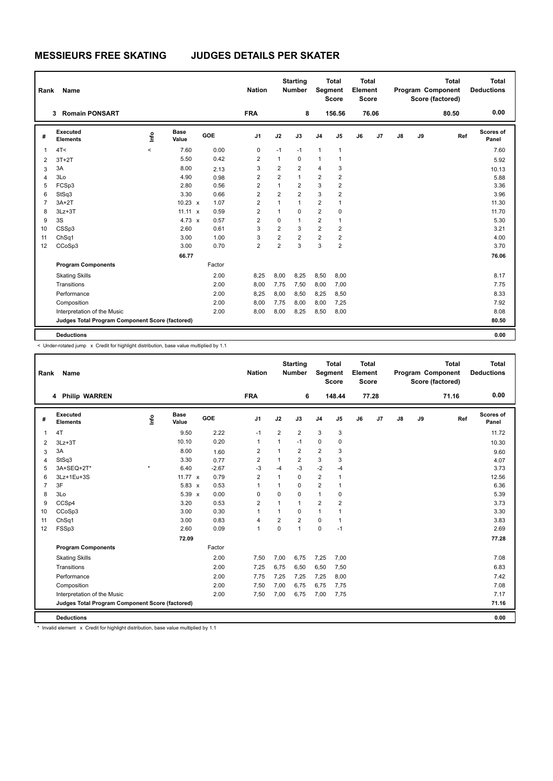| Rank           | Name                                            |       |                      |        | <b>Nation</b>  |                | <b>Starting</b><br><b>Number</b> | Segment        | <b>Total</b><br><b>Score</b> | <b>Total</b><br>Element<br><b>Score</b> |       |    |    | <b>Total</b><br>Program Component<br>Score (factored) | <b>Total</b><br><b>Deductions</b> |
|----------------|-------------------------------------------------|-------|----------------------|--------|----------------|----------------|----------------------------------|----------------|------------------------------|-----------------------------------------|-------|----|----|-------------------------------------------------------|-----------------------------------|
|                | <b>Romain PONSART</b><br>3                      |       |                      |        | <b>FRA</b>     |                | 8                                |                | 156.56                       |                                         | 76.06 |    |    | 80.50                                                 | 0.00                              |
| #              | Executed<br><b>Elements</b>                     | lnfo  | <b>Base</b><br>Value | GOE    | J <sub>1</sub> | J2             | J3                               | J <sub>4</sub> | J <sub>5</sub>               | J6                                      | J7    | J8 | J9 | Ref                                                   | Scores of<br>Panel                |
| 1              | 4T <                                            | $\,<$ | 7.60                 | 0.00   | 0              | $-1$           | $-1$                             | $\mathbf{1}$   | $\mathbf{1}$                 |                                         |       |    |    |                                                       | 7.60                              |
| $\overline{2}$ | $3T+2T$                                         |       | 5.50                 | 0.42   | 2              | $\mathbf{1}$   | 0                                | $\mathbf{1}$   | $\mathbf{1}$                 |                                         |       |    |    |                                                       | 5.92                              |
| 3              | 3A                                              |       | 8.00                 | 2.13   | 3              | $\overline{2}$ | $\overline{2}$                   | $\overline{4}$ | 3                            |                                         |       |    |    |                                                       | 10.13                             |
| 4              | 3Lo                                             |       | 4.90                 | 0.98   | 2              | $\overline{2}$ | $\mathbf{1}$                     | $\overline{2}$ | $\overline{2}$               |                                         |       |    |    |                                                       | 5.88                              |
| 5              | FCSp3                                           |       | 2.80                 | 0.56   | 2              | $\mathbf{1}$   | $\overline{2}$                   | 3              | 2                            |                                         |       |    |    |                                                       | 3.36                              |
| 6              | StSq3                                           |       | 3.30                 | 0.66   | $\overline{2}$ | 2              | $\overline{2}$                   | 3              | $\overline{2}$               |                                         |       |    |    |                                                       | 3.96                              |
| $\overline{7}$ | $3A+2T$                                         |       | $10.23 \times$       | 1.07   | $\overline{2}$ | 1              | $\mathbf{1}$                     | $\overline{2}$ | $\overline{1}$               |                                         |       |    |    |                                                       | 11.30                             |
| 8              | $3Lz + 3T$                                      |       | $11.11 \times$       | 0.59   | $\overline{2}$ | 1              | $\mathbf 0$                      | $\overline{2}$ | $\mathbf 0$                  |                                         |       |    |    |                                                       | 11.70                             |
| 9              | 3S                                              |       | 4.73 $\times$        | 0.57   | 2              | 0              | $\mathbf{1}$                     | 2              | $\mathbf{1}$                 |                                         |       |    |    |                                                       | 5.30                              |
| 10             | CSSp3                                           |       | 2.60                 | 0.61   | 3              | $\overline{2}$ | 3                                | $\overline{2}$ | $\overline{2}$               |                                         |       |    |    |                                                       | 3.21                              |
| 11             | Ch <sub>Sq1</sub>                               |       | 3.00                 | 1.00   | 3              | $\overline{2}$ | $\overline{2}$                   | $\overline{2}$ | $\overline{2}$               |                                         |       |    |    |                                                       | 4.00                              |
| 12             | CCoSp3                                          |       | 3.00                 | 0.70   | $\overline{2}$ | $\overline{2}$ | 3                                | 3              | $\overline{2}$               |                                         |       |    |    |                                                       | 3.70                              |
|                |                                                 |       | 66.77                |        |                |                |                                  |                |                              |                                         |       |    |    |                                                       | 76.06                             |
|                | <b>Program Components</b>                       |       |                      | Factor |                |                |                                  |                |                              |                                         |       |    |    |                                                       |                                   |
|                | <b>Skating Skills</b>                           |       |                      | 2.00   | 8,25           | 8,00           | 8,25                             | 8,50           | 8,00                         |                                         |       |    |    |                                                       | 8.17                              |
|                | Transitions                                     |       |                      | 2.00   | 8,00           | 7,75           | 7,50                             | 8,00           | 7,00                         |                                         |       |    |    |                                                       | 7.75                              |
|                | Performance                                     |       |                      | 2.00   | 8,25           | 8,00           | 8,50                             | 8,25           | 8,50                         |                                         |       |    |    |                                                       | 8.33                              |
|                | Composition                                     |       |                      | 2.00   | 8,00           | 7,75           | 8,00                             | 8,00           | 7,25                         |                                         |       |    |    |                                                       | 7.92                              |
|                | Interpretation of the Music                     |       |                      | 2.00   | 8,00           | 8,00           | 8,25                             | 8,50           | 8,00                         |                                         |       |    |    |                                                       | 8.08                              |
|                | Judges Total Program Component Score (factored) |       |                      |        |                |                |                                  |                |                              |                                         |       |    |    |                                                       | 80.50                             |
|                | <b>Deductions</b>                               |       |                      |        |                |                |                                  |                |                              |                                         |       |    |    |                                                       | 0.00                              |

< Under-rotated jump x Credit for highlight distribution, base value multiplied by 1.1

| 4 Philip WARREN<br><b>FRA</b><br>6<br>148.44<br>77.28<br>71.16<br>Executed<br><b>Base</b><br>lnfo<br>GOE<br>J <sub>1</sub><br>J2<br>J7<br>J3<br>J5<br>J6<br>$\mathsf{J}8$<br>J9<br>J <sub>4</sub><br>Ref<br>#<br><b>Elements</b><br>Value<br>Panel<br>2.22<br>$\overline{2}$<br>$\overline{2}$<br>3<br>3<br>4T<br>9.50<br>$-1$<br>$\mathbf{1}$<br>10.10<br>0.20<br>$-1$<br>0<br>0<br>$\mathbf{1}$<br>1<br>$3Lz + 3T$<br>2<br>$\overline{2}$<br>3A<br>8.00<br>$\overline{2}$<br>3<br>$\overline{2}$<br>$\overline{1}$<br>1.60<br>3<br>3<br>StSq3<br>$\overline{2}$<br>$\overline{2}$<br>3<br>3.30<br>0.77<br>1<br>4<br>$\star$<br>$-3$<br>$-3$<br>$-2$<br>3A+SEQ+2T*<br>6.40<br>$-2.67$<br>$-4$<br>$-4$<br>5<br>$\overline{2}$<br>3Lz+1Eu+3S<br>$\overline{2}$<br>11.77 $x$<br>0.79<br>0<br>$\mathbf{1}$<br>6<br>1<br>$\overline{2}$<br>3F<br>$5.83 \times$<br>0.53<br>$\overline{7}$<br>$\Omega$<br>$\mathbf{1}$<br>1<br>1<br>3Lo<br>5.39 x<br>0.00<br>$\mathbf{1}$<br>0<br>8<br>$\Omega$<br>0<br>0<br>$\overline{2}$<br>0.53<br>$\overline{2}$<br>9<br>CCSp4<br>3.20<br>$\overline{2}$<br>$\mathbf{1}$<br>$\mathbf{1}$<br>0.30<br>$\mathbf{1}$<br>CCoSp3<br>3.00<br>$\mathbf{1}$<br>$\Omega$<br>10<br>1<br>1<br>$\overline{2}$<br>$\overline{2}$<br>$\mathbf 0$<br>ChSq1<br>3.00<br>0.83<br>$\overline{4}$<br>1<br>11<br>$\mathbf 0$<br>FSSp3<br>2.60<br>0.09<br>$\Omega$<br>$-1$<br>$\mathbf{1}$<br>1<br>12<br>72.09<br><b>Program Components</b><br>Factor<br><b>Skating Skills</b><br>2.00<br>7,50<br>7,00<br>6,75<br>7,25<br>7,00<br>Transitions<br>2.00<br>7,25<br>6,75<br>6,50<br>6,50<br>7,50<br>Performance<br>2.00<br>7,75<br>7,25<br>7,25<br>8,00<br>7,25<br>Composition<br>2.00<br>7,00<br>6,75<br>7,75<br>7,50<br>6,75<br>2.00<br>Interpretation of the Music<br>7,50<br>7,00<br>6,75<br>7,00<br>7,75<br>Judges Total Program Component Score (factored) | Rank | Name |  | <b>Nation</b> | <b>Starting</b><br><b>Number</b> | Segment | <b>Total</b><br><b>Score</b> | Total<br>Element<br><b>Score</b> |  | <b>Total</b><br>Program Component<br>Score (factored) | <b>Total</b><br><b>Deductions</b> |
|-----------------------------------------------------------------------------------------------------------------------------------------------------------------------------------------------------------------------------------------------------------------------------------------------------------------------------------------------------------------------------------------------------------------------------------------------------------------------------------------------------------------------------------------------------------------------------------------------------------------------------------------------------------------------------------------------------------------------------------------------------------------------------------------------------------------------------------------------------------------------------------------------------------------------------------------------------------------------------------------------------------------------------------------------------------------------------------------------------------------------------------------------------------------------------------------------------------------------------------------------------------------------------------------------------------------------------------------------------------------------------------------------------------------------------------------------------------------------------------------------------------------------------------------------------------------------------------------------------------------------------------------------------------------------------------------------------------------------------------------------------------------------------------------------------------------------------------------------------------------------|------|------|--|---------------|----------------------------------|---------|------------------------------|----------------------------------|--|-------------------------------------------------------|-----------------------------------|
|                                                                                                                                                                                                                                                                                                                                                                                                                                                                                                                                                                                                                                                                                                                                                                                                                                                                                                                                                                                                                                                                                                                                                                                                                                                                                                                                                                                                                                                                                                                                                                                                                                                                                                                                                                                                                                                                       |      |      |  |               |                                  |         |                              |                                  |  |                                                       | 0.00                              |
|                                                                                                                                                                                                                                                                                                                                                                                                                                                                                                                                                                                                                                                                                                                                                                                                                                                                                                                                                                                                                                                                                                                                                                                                                                                                                                                                                                                                                                                                                                                                                                                                                                                                                                                                                                                                                                                                       |      |      |  |               |                                  |         |                              |                                  |  |                                                       | Scores of                         |
|                                                                                                                                                                                                                                                                                                                                                                                                                                                                                                                                                                                                                                                                                                                                                                                                                                                                                                                                                                                                                                                                                                                                                                                                                                                                                                                                                                                                                                                                                                                                                                                                                                                                                                                                                                                                                                                                       |      |      |  |               |                                  |         |                              |                                  |  |                                                       | 11.72                             |
|                                                                                                                                                                                                                                                                                                                                                                                                                                                                                                                                                                                                                                                                                                                                                                                                                                                                                                                                                                                                                                                                                                                                                                                                                                                                                                                                                                                                                                                                                                                                                                                                                                                                                                                                                                                                                                                                       |      |      |  |               |                                  |         |                              |                                  |  |                                                       | 10.30                             |
|                                                                                                                                                                                                                                                                                                                                                                                                                                                                                                                                                                                                                                                                                                                                                                                                                                                                                                                                                                                                                                                                                                                                                                                                                                                                                                                                                                                                                                                                                                                                                                                                                                                                                                                                                                                                                                                                       |      |      |  |               |                                  |         |                              |                                  |  |                                                       | 9.60                              |
|                                                                                                                                                                                                                                                                                                                                                                                                                                                                                                                                                                                                                                                                                                                                                                                                                                                                                                                                                                                                                                                                                                                                                                                                                                                                                                                                                                                                                                                                                                                                                                                                                                                                                                                                                                                                                                                                       |      |      |  |               |                                  |         |                              |                                  |  |                                                       | 4.07                              |
|                                                                                                                                                                                                                                                                                                                                                                                                                                                                                                                                                                                                                                                                                                                                                                                                                                                                                                                                                                                                                                                                                                                                                                                                                                                                                                                                                                                                                                                                                                                                                                                                                                                                                                                                                                                                                                                                       |      |      |  |               |                                  |         |                              |                                  |  |                                                       | 3.73                              |
|                                                                                                                                                                                                                                                                                                                                                                                                                                                                                                                                                                                                                                                                                                                                                                                                                                                                                                                                                                                                                                                                                                                                                                                                                                                                                                                                                                                                                                                                                                                                                                                                                                                                                                                                                                                                                                                                       |      |      |  |               |                                  |         |                              |                                  |  |                                                       | 12.56                             |
|                                                                                                                                                                                                                                                                                                                                                                                                                                                                                                                                                                                                                                                                                                                                                                                                                                                                                                                                                                                                                                                                                                                                                                                                                                                                                                                                                                                                                                                                                                                                                                                                                                                                                                                                                                                                                                                                       |      |      |  |               |                                  |         |                              |                                  |  |                                                       | 6.36                              |
|                                                                                                                                                                                                                                                                                                                                                                                                                                                                                                                                                                                                                                                                                                                                                                                                                                                                                                                                                                                                                                                                                                                                                                                                                                                                                                                                                                                                                                                                                                                                                                                                                                                                                                                                                                                                                                                                       |      |      |  |               |                                  |         |                              |                                  |  |                                                       | 5.39                              |
|                                                                                                                                                                                                                                                                                                                                                                                                                                                                                                                                                                                                                                                                                                                                                                                                                                                                                                                                                                                                                                                                                                                                                                                                                                                                                                                                                                                                                                                                                                                                                                                                                                                                                                                                                                                                                                                                       |      |      |  |               |                                  |         |                              |                                  |  |                                                       | 3.73                              |
|                                                                                                                                                                                                                                                                                                                                                                                                                                                                                                                                                                                                                                                                                                                                                                                                                                                                                                                                                                                                                                                                                                                                                                                                                                                                                                                                                                                                                                                                                                                                                                                                                                                                                                                                                                                                                                                                       |      |      |  |               |                                  |         |                              |                                  |  |                                                       | 3.30                              |
|                                                                                                                                                                                                                                                                                                                                                                                                                                                                                                                                                                                                                                                                                                                                                                                                                                                                                                                                                                                                                                                                                                                                                                                                                                                                                                                                                                                                                                                                                                                                                                                                                                                                                                                                                                                                                                                                       |      |      |  |               |                                  |         |                              |                                  |  |                                                       | 3.83                              |
|                                                                                                                                                                                                                                                                                                                                                                                                                                                                                                                                                                                                                                                                                                                                                                                                                                                                                                                                                                                                                                                                                                                                                                                                                                                                                                                                                                                                                                                                                                                                                                                                                                                                                                                                                                                                                                                                       |      |      |  |               |                                  |         |                              |                                  |  |                                                       | 2.69                              |
|                                                                                                                                                                                                                                                                                                                                                                                                                                                                                                                                                                                                                                                                                                                                                                                                                                                                                                                                                                                                                                                                                                                                                                                                                                                                                                                                                                                                                                                                                                                                                                                                                                                                                                                                                                                                                                                                       |      |      |  |               |                                  |         |                              |                                  |  |                                                       | 77.28                             |
|                                                                                                                                                                                                                                                                                                                                                                                                                                                                                                                                                                                                                                                                                                                                                                                                                                                                                                                                                                                                                                                                                                                                                                                                                                                                                                                                                                                                                                                                                                                                                                                                                                                                                                                                                                                                                                                                       |      |      |  |               |                                  |         |                              |                                  |  |                                                       |                                   |
|                                                                                                                                                                                                                                                                                                                                                                                                                                                                                                                                                                                                                                                                                                                                                                                                                                                                                                                                                                                                                                                                                                                                                                                                                                                                                                                                                                                                                                                                                                                                                                                                                                                                                                                                                                                                                                                                       |      |      |  |               |                                  |         |                              |                                  |  |                                                       | 7.08                              |
|                                                                                                                                                                                                                                                                                                                                                                                                                                                                                                                                                                                                                                                                                                                                                                                                                                                                                                                                                                                                                                                                                                                                                                                                                                                                                                                                                                                                                                                                                                                                                                                                                                                                                                                                                                                                                                                                       |      |      |  |               |                                  |         |                              |                                  |  |                                                       | 6.83                              |
|                                                                                                                                                                                                                                                                                                                                                                                                                                                                                                                                                                                                                                                                                                                                                                                                                                                                                                                                                                                                                                                                                                                                                                                                                                                                                                                                                                                                                                                                                                                                                                                                                                                                                                                                                                                                                                                                       |      |      |  |               |                                  |         |                              |                                  |  |                                                       | 7.42                              |
|                                                                                                                                                                                                                                                                                                                                                                                                                                                                                                                                                                                                                                                                                                                                                                                                                                                                                                                                                                                                                                                                                                                                                                                                                                                                                                                                                                                                                                                                                                                                                                                                                                                                                                                                                                                                                                                                       |      |      |  |               |                                  |         |                              |                                  |  |                                                       | 7.08                              |
|                                                                                                                                                                                                                                                                                                                                                                                                                                                                                                                                                                                                                                                                                                                                                                                                                                                                                                                                                                                                                                                                                                                                                                                                                                                                                                                                                                                                                                                                                                                                                                                                                                                                                                                                                                                                                                                                       |      |      |  |               |                                  |         |                              |                                  |  |                                                       | 7.17                              |
|                                                                                                                                                                                                                                                                                                                                                                                                                                                                                                                                                                                                                                                                                                                                                                                                                                                                                                                                                                                                                                                                                                                                                                                                                                                                                                                                                                                                                                                                                                                                                                                                                                                                                                                                                                                                                                                                       |      |      |  |               |                                  |         |                              |                                  |  |                                                       | 71.16                             |
| <b>Deductions</b>                                                                                                                                                                                                                                                                                                                                                                                                                                                                                                                                                                                                                                                                                                                                                                                                                                                                                                                                                                                                                                                                                                                                                                                                                                                                                                                                                                                                                                                                                                                                                                                                                                                                                                                                                                                                                                                     |      |      |  |               |                                  |         |                              |                                  |  |                                                       | 0.00                              |

\* Invalid element x Credit for highlight distribution, base value multiplied by 1.1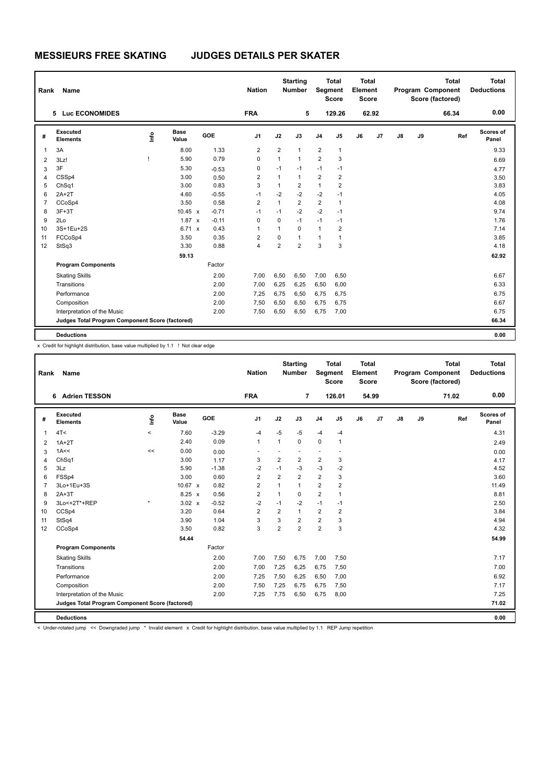| Rank           | Name                                            |      |                      |         | <b>Nation</b>  |                | <b>Starting</b><br><b>Number</b> | Segment        | <b>Total</b><br><b>Score</b> | Total<br>Element<br><b>Score</b> |                |               |    | <b>Total</b><br><b>Program Component</b><br>Score (factored) | Total<br><b>Deductions</b> |
|----------------|-------------------------------------------------|------|----------------------|---------|----------------|----------------|----------------------------------|----------------|------------------------------|----------------------------------|----------------|---------------|----|--------------------------------------------------------------|----------------------------|
|                | 5 Luc ECONOMIDES                                |      |                      |         | <b>FRA</b>     |                | 5                                |                | 129.26                       |                                  | 62.92          |               |    | 66.34                                                        | 0.00                       |
| #              | Executed<br><b>Elements</b>                     | ١nfo | <b>Base</b><br>Value | GOE     | J <sub>1</sub> | J2             | J3                               | J <sub>4</sub> | J <sub>5</sub>               | J6                               | J <sub>7</sub> | $\mathsf{J}8$ | J9 | Ref                                                          | Scores of<br>Panel         |
| 1              | 3A                                              |      | 8.00                 | 1.33    | $\overline{2}$ | $\overline{2}$ | $\mathbf{1}$                     | $\overline{2}$ | $\mathbf{1}$                 |                                  |                |               |    |                                                              | 9.33                       |
| 2              | 3Lz!                                            | ı    | 5.90                 | 0.79    | 0              | $\mathbf{1}$   | $\mathbf{1}$                     | $\overline{2}$ | 3                            |                                  |                |               |    |                                                              | 6.69                       |
| 3              | 3F                                              |      | 5.30                 | $-0.53$ | 0              | $-1$           | $-1$                             | $-1$           | $-1$                         |                                  |                |               |    |                                                              | 4.77                       |
| 4              | CSSp4                                           |      | 3.00                 | 0.50    | 2              | $\mathbf{1}$   | $\mathbf{1}$                     | $\overline{2}$ | $\overline{2}$               |                                  |                |               |    |                                                              | 3.50                       |
| 5              | ChSq1                                           |      | 3.00                 | 0.83    | 3              | $\mathbf{1}$   | 2                                | $\mathbf{1}$   | $\overline{2}$               |                                  |                |               |    |                                                              | 3.83                       |
| 6              | $2A+2T$                                         |      | 4.60                 | $-0.55$ | $-1$           | $-2$           | $-2$                             | $-2$           | $-1$                         |                                  |                |               |    |                                                              | 4.05                       |
| $\overline{7}$ | CCoSp4                                          |      | 3.50                 | 0.58    | $\overline{2}$ | $\mathbf{1}$   | $\overline{2}$                   | $\overline{2}$ | 1                            |                                  |                |               |    |                                                              | 4.08                       |
| 8              | $3F+3T$                                         |      | 10.45 x              | $-0.71$ | $-1$           | $-1$           | $-2$                             | $-2$           | $-1$                         |                                  |                |               |    |                                                              | 9.74                       |
| 9              | 2Lo                                             |      | $1.87 \times$        | $-0.11$ | 0              | $\mathbf 0$    | $-1$                             | $-1$           | $-1$                         |                                  |                |               |    |                                                              | 1.76                       |
| 10             | 3S+1Eu+2S                                       |      | 6.71 x               | 0.43    | 1              | 1              | 0                                | $\mathbf{1}$   | $\overline{2}$               |                                  |                |               |    |                                                              | 7.14                       |
| 11             | FCCoSp4                                         |      | 3.50                 | 0.35    | $\overline{2}$ | 0              | $\mathbf{1}$                     | 1              | 1                            |                                  |                |               |    |                                                              | 3.85                       |
| 12             | StSq3                                           |      | 3.30                 | 0.88    | 4              | $\overline{2}$ | $\overline{2}$                   | 3              | 3                            |                                  |                |               |    |                                                              | 4.18                       |
|                |                                                 |      | 59.13                |         |                |                |                                  |                |                              |                                  |                |               |    |                                                              | 62.92                      |
|                | <b>Program Components</b>                       |      |                      | Factor  |                |                |                                  |                |                              |                                  |                |               |    |                                                              |                            |
|                | <b>Skating Skills</b>                           |      |                      | 2.00    | 7,00           | 6,50           | 6,50                             | 7,00           | 6,50                         |                                  |                |               |    |                                                              | 6.67                       |
|                | Transitions                                     |      |                      | 2.00    | 7,00           | 6,25           | 6,25                             | 6,50           | 6,00                         |                                  |                |               |    |                                                              | 6.33                       |
|                | Performance                                     |      |                      | 2.00    | 7,25           | 6,75           | 6,50                             | 6,75           | 6,75                         |                                  |                |               |    |                                                              | 6.75                       |
|                | Composition                                     |      |                      | 2.00    | 7,50           | 6,50           | 6,50                             | 6,75           | 6,75                         |                                  |                |               |    |                                                              | 6.67                       |
|                | Interpretation of the Music                     |      |                      | 2.00    | 7,50           | 6,50           | 6,50                             | 6,75           | 7,00                         |                                  |                |               |    |                                                              | 6.75                       |
|                | Judges Total Program Component Score (factored) |      |                      |         |                |                |                                  |                |                              |                                  |                |               |    |                                                              | 66.34                      |
|                | <b>Deductions</b>                               |      |                      |         |                |                |                                  |                |                              |                                  |                |               |    |                                                              | 0.00                       |

x Credit for highlight distribution, base value multiplied by 1.1 ! Not clear edge

| Rank           | <b>Name</b>                                     |                     |                      |         | <b>Nation</b>  |                | <b>Starting</b><br><b>Number</b> | Segment        | <b>Total</b><br><b>Score</b> | Total<br>Element<br><b>Score</b> |       |               |    | <b>Total</b><br>Program Component<br>Score (factored) | Total<br><b>Deductions</b> |
|----------------|-------------------------------------------------|---------------------|----------------------|---------|----------------|----------------|----------------------------------|----------------|------------------------------|----------------------------------|-------|---------------|----|-------------------------------------------------------|----------------------------|
|                | <b>Adrien TESSON</b><br>6.                      |                     |                      |         | <b>FRA</b>     |                | 7                                |                | 126.01                       |                                  | 54.99 |               |    | 71.02                                                 | 0.00                       |
| #              | Executed<br><b>Elements</b>                     | ۴ô                  | <b>Base</b><br>Value | GOE     | J1             | J2             | J3                               | J <sub>4</sub> | J5                           | J6                               | J7    | $\mathsf{J}8$ | J9 | Ref                                                   | Scores of<br>Panel         |
| $\mathbf{1}$   | 4T<                                             | $\prec$             | 7.60                 | $-3.29$ | $-4$           | $-5$           | $-5$                             | $-4$           | $-4$                         |                                  |       |               |    |                                                       | 4.31                       |
| 2              | $1A+2T$                                         |                     | 2.40                 | 0.09    | $\mathbf{1}$   | $\overline{1}$ | $\Omega$                         | $\mathbf 0$    | 1                            |                                  |       |               |    |                                                       | 2.49                       |
| 3              | 1A<<                                            | <<                  | 0.00                 | 0.00    | ٠              |                |                                  | ٠              |                              |                                  |       |               |    |                                                       | 0.00                       |
| $\overline{4}$ | Ch <sub>Sq1</sub>                               |                     | 3.00                 | 1.17    | 3              | $\overline{2}$ | $\overline{2}$                   | $\overline{2}$ | 3                            |                                  |       |               |    |                                                       | 4.17                       |
| 5              | 3Lz                                             |                     | 5.90                 | $-1.38$ | $-2$           | $-1$           | $-3$                             | $-3$           | $-2$                         |                                  |       |               |    |                                                       | 4.52                       |
| 6              | FSSp4                                           |                     | 3.00                 | 0.60    | $\overline{2}$ | $\overline{2}$ | $\overline{2}$                   | $\overline{2}$ | 3                            |                                  |       |               |    |                                                       | 3.60                       |
| $\overline{7}$ | 3Lo+1Eu+3S                                      |                     | 10.67 x              | 0.82    | $\overline{2}$ | $\mathbf{1}$   | $\mathbf{1}$                     | $\overline{2}$ | $\overline{2}$               |                                  |       |               |    |                                                       | 11.49                      |
| 8              | $2A+3T$                                         |                     | $8.25 \times$        | 0.56    | $\overline{2}$ | $\mathbf{1}$   | $\Omega$                         | $\overline{2}$ | 1                            |                                  |       |               |    |                                                       | 8.81                       |
| 9              | 3Lo<+2T*+REP                                    | $\boldsymbol{\ast}$ | $3.02 \times$        | $-0.52$ | -2             | $-1$           | $-2$                             | $-1$           | $-1$                         |                                  |       |               |    |                                                       | 2.50                       |
| 10             | CCSp4                                           |                     | 3.20                 | 0.64    | $\overline{2}$ | $\overline{2}$ | $\mathbf{1}$                     | $\overline{2}$ | $\overline{2}$               |                                  |       |               |    |                                                       | 3.84                       |
| 11             | StSq4                                           |                     | 3.90                 | 1.04    | 3              | 3              | $\overline{2}$                   | $\overline{2}$ | 3                            |                                  |       |               |    |                                                       | 4.94                       |
| 12             | CCoSp4                                          |                     | 3.50                 | 0.82    | 3              | $\overline{2}$ | $\overline{2}$                   | $\overline{2}$ | 3                            |                                  |       |               |    |                                                       | 4.32                       |
|                |                                                 |                     | 54.44                |         |                |                |                                  |                |                              |                                  |       |               |    |                                                       | 54.99                      |
|                | <b>Program Components</b>                       |                     |                      | Factor  |                |                |                                  |                |                              |                                  |       |               |    |                                                       |                            |
|                | <b>Skating Skills</b>                           |                     |                      | 2.00    | 7,00           | 7,50           | 6.75                             | 7,00           | 7,50                         |                                  |       |               |    |                                                       | 7.17                       |
|                | Transitions                                     |                     |                      | 2.00    | 7,00           | 7,25           | 6,25                             | 6,75           | 7,50                         |                                  |       |               |    |                                                       | 7.00                       |
|                | Performance                                     |                     |                      | 2.00    | 7,25           | 7,50           | 6,25                             | 6,50           | 7,00                         |                                  |       |               |    |                                                       | 6.92                       |
|                | Composition                                     |                     |                      | 2.00    | 7,50           | 7,25           | 6,75                             | 6,75           | 7,50                         |                                  |       |               |    |                                                       | 7.17                       |
|                | Interpretation of the Music                     |                     |                      | 2.00    | 7,25           | 7,75           | 6,50                             | 6,75           | 8,00                         |                                  |       |               |    |                                                       | 7.25                       |
|                | Judges Total Program Component Score (factored) |                     |                      |         |                |                |                                  |                |                              |                                  |       |               |    |                                                       | 71.02                      |
|                | <b>Deductions</b>                               |                     |                      |         |                |                |                                  |                |                              |                                  |       |               |    |                                                       | 0.00                       |

< Under-rotated jump << Downgraded jump \* Invalid element x Credit for highlight distribution, base value multiplied by 1.1 REP Jump repetition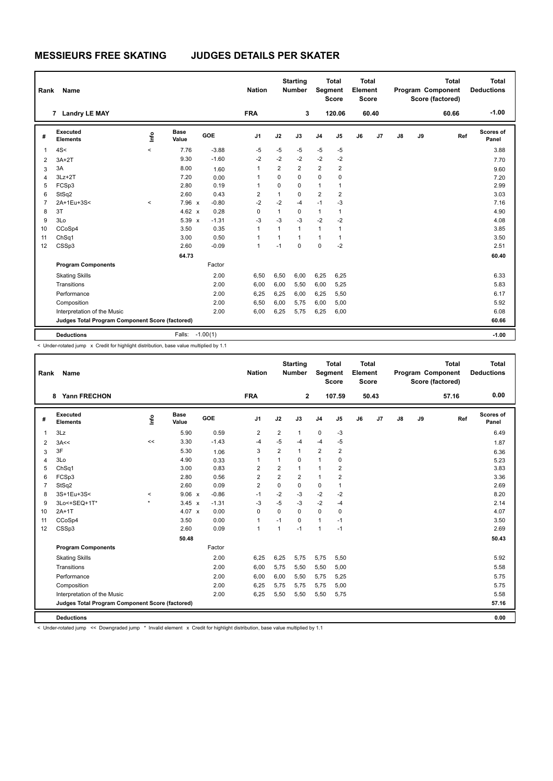| Rank           | Name                                            |         |                      |            | <b>Nation</b>  |                | <b>Starting</b><br><b>Number</b> | Segment        | <b>Total</b><br><b>Score</b> | <b>Total</b><br>Element<br><b>Score</b> |       |    |    | <b>Total</b><br><b>Program Component</b><br>Score (factored) | <b>Total</b><br><b>Deductions</b> |
|----------------|-------------------------------------------------|---------|----------------------|------------|----------------|----------------|----------------------------------|----------------|------------------------------|-----------------------------------------|-------|----|----|--------------------------------------------------------------|-----------------------------------|
|                | 7 Landry LE MAY                                 |         |                      |            | <b>FRA</b>     |                | 3                                |                | 120.06                       |                                         | 60.40 |    |    | 60.66                                                        | $-1.00$                           |
| #              | Executed<br><b>Elements</b>                     | Life    | <b>Base</b><br>Value | GOE        | J <sub>1</sub> | J2             | J3                               | J <sub>4</sub> | J <sub>5</sub>               | J6                                      | J7    | J8 | J9 | Ref                                                          | Scores of<br>Panel                |
| $\overline{1}$ | 4S<                                             | $\,<$   | 7.76                 | $-3.88$    | $-5$           | $-5$           | $-5$                             | $-5$           | $-5$                         |                                         |       |    |    |                                                              | 3.88                              |
| $\overline{2}$ | $3A+2T$                                         |         | 9.30                 | $-1.60$    | $-2$           | $-2$           | $-2$                             | $-2$           | $-2$                         |                                         |       |    |    |                                                              | 7.70                              |
| 3              | 3A                                              |         | 8.00                 | 1.60       | 1              | $\overline{2}$ | $\overline{2}$                   | $\overline{2}$ | $\overline{2}$               |                                         |       |    |    |                                                              | 9.60                              |
| $\overline{4}$ | $3Lz + 2T$                                      |         | 7.20                 | 0.00       | 1              | 0              | $\mathbf 0$                      | $\mathbf 0$    | $\mathbf 0$                  |                                         |       |    |    |                                                              | 7.20                              |
| 5              | FCSp3                                           |         | 2.80                 | 0.19       | 1              | 0              | $\mathbf 0$                      | $\mathbf{1}$   | $\mathbf{1}$                 |                                         |       |    |    |                                                              | 2.99                              |
| 6              | StSq2                                           |         | 2.60                 | 0.43       | $\overline{2}$ | $\mathbf{1}$   | $\Omega$                         | $\overline{2}$ | $\overline{2}$               |                                         |       |    |    |                                                              | 3.03                              |
| $\overline{7}$ | 2A+1Eu+3S<                                      | $\prec$ | $7.96 \times$        | $-0.80$    | $-2$           | $-2$           | $-4$                             | $-1$           | $-3$                         |                                         |       |    |    |                                                              | 7.16                              |
| 8              | 3T                                              |         | 4.62 $\times$        | 0.28       | $\mathbf 0$    | $\mathbf{1}$   | $\mathbf 0$                      | $\mathbf{1}$   | $\mathbf{1}$                 |                                         |       |    |    |                                                              | 4.90                              |
| 9              | 3Lo                                             |         | 5.39 x               | $-1.31$    | $-3$           | $-3$           | $-3$                             | $-2$           | $-2$                         |                                         |       |    |    |                                                              | 4.08                              |
| 10             | CCoSp4                                          |         | 3.50                 | 0.35       | 1              | $\mathbf{1}$   | $\mathbf{1}$                     | $\mathbf{1}$   | $\mathbf{1}$                 |                                         |       |    |    |                                                              | 3.85                              |
| 11             | ChSq1                                           |         | 3.00                 | 0.50       | 1              | 1              | $\overline{1}$                   | 1              | 1                            |                                         |       |    |    |                                                              | 3.50                              |
| 12             | CSSp3                                           |         | 2.60                 | $-0.09$    | 1              | $-1$           | $\mathbf 0$                      | $\mathbf 0$    | $-2$                         |                                         |       |    |    |                                                              | 2.51                              |
|                |                                                 |         | 64.73                |            |                |                |                                  |                |                              |                                         |       |    |    |                                                              | 60.40                             |
|                | <b>Program Components</b>                       |         |                      | Factor     |                |                |                                  |                |                              |                                         |       |    |    |                                                              |                                   |
|                | <b>Skating Skills</b>                           |         |                      | 2.00       | 6,50           | 6,50           | 6,00                             | 6,25           | 6,25                         |                                         |       |    |    |                                                              | 6.33                              |
|                | Transitions                                     |         |                      | 2.00       | 6,00           | 6,00           | 5,50                             | 6,00           | 5,25                         |                                         |       |    |    |                                                              | 5.83                              |
|                | Performance                                     |         |                      | 2.00       | 6.25           | 6,25           | 6.00                             | 6,25           | 5,50                         |                                         |       |    |    |                                                              | 6.17                              |
|                | Composition                                     |         |                      | 2.00       | 6,50           | 6,00           | 5.75                             | 6,00           | 5,00                         |                                         |       |    |    |                                                              | 5.92                              |
|                | Interpretation of the Music                     |         |                      | 2.00       | 6,00           | 6,25           | 5,75                             | 6,25           | 6,00                         |                                         |       |    |    |                                                              | 6.08                              |
|                | Judges Total Program Component Score (factored) |         |                      |            |                |                |                                  |                |                              |                                         |       |    |    |                                                              | 60.66                             |
|                | <b>Deductions</b>                               |         | Falls:               | $-1.00(1)$ |                |                |                                  |                |                              |                                         |       |    |    |                                                              | $-1.00$                           |

< Under-rotated jump x Credit for highlight distribution, base value multiplied by 1.1

| Rank           | Name                                            |          |               |         | <b>Nation</b>  |                | <b>Starting</b><br><b>Number</b> | Segment        | <b>Total</b><br><b>Score</b> | Total<br>Element<br><b>Score</b> |       |    |    | <b>Total</b><br>Program Component<br>Score (factored) | <b>Total</b><br><b>Deductions</b> |
|----------------|-------------------------------------------------|----------|---------------|---------|----------------|----------------|----------------------------------|----------------|------------------------------|----------------------------------|-------|----|----|-------------------------------------------------------|-----------------------------------|
|                | <b>Yann FRECHON</b><br>8                        |          |               |         | <b>FRA</b>     |                | $\mathbf{2}$                     |                | 107.59                       |                                  | 50.43 |    |    | 57.16                                                 | 0.00                              |
| #              | Executed<br><b>Elements</b>                     | <u>l</u> | Base<br>Value | GOE     | J <sub>1</sub> | J2             | J3                               | J <sub>4</sub> | J5                           | J6                               | J7    | J8 | J9 | Ref                                                   | Scores of<br>Panel                |
| $\overline{1}$ | 3Lz                                             |          | 5.90          | 0.59    | $\overline{2}$ | $\overline{2}$ | $\mathbf{1}$                     | 0              | $-3$                         |                                  |       |    |    |                                                       | 6.49                              |
| 2              | 3A<<                                            | <<       | 3.30          | $-1.43$ | $-4$           | $-5$           | $-4$                             | $-4$           | $-5$                         |                                  |       |    |    |                                                       | 1.87                              |
| 3              | 3F                                              |          | 5.30          | 1.06    | 3              | $\overline{2}$ | $\mathbf{1}$                     | $\overline{2}$ | $\overline{2}$               |                                  |       |    |    |                                                       | 6.36                              |
| $\overline{4}$ | 3Lo                                             |          | 4.90          | 0.33    | $\mathbf{1}$   | 1              | 0                                | $\mathbf{1}$   | 0                            |                                  |       |    |    |                                                       | 5.23                              |
| 5              | ChSq1                                           |          | 3.00          | 0.83    | $\overline{2}$ | $\overline{2}$ | $\mathbf{1}$                     | $\mathbf{1}$   | 2                            |                                  |       |    |    |                                                       | 3.83                              |
| 6              | FCSp3                                           |          | 2.80          | 0.56    | $\overline{2}$ | $\overline{2}$ | $\overline{2}$                   | $\mathbf{1}$   | $\overline{2}$               |                                  |       |    |    |                                                       | 3.36                              |
| $\overline{7}$ | StSq2                                           |          | 2.60          | 0.09    | $\overline{2}$ | $\mathbf 0$    | 0                                | $\mathbf 0$    | 1                            |                                  |       |    |    |                                                       | 2.69                              |
| 8              | 3S+1Eu+3S<                                      | $\prec$  | $9.06 \times$ | $-0.86$ | $-1$           | $-2$           | $-3$                             | $-2$           | $-2$                         |                                  |       |    |    |                                                       | 8.20                              |
| 9              | 3Lo<+SEQ+1T*                                    | $\star$  | $3.45 \times$ | $-1.31$ | $-3$           | $-5$           | $-3$                             | $-2$           | $-4$                         |                                  |       |    |    |                                                       | 2.14                              |
| 10             | $2A+1T$                                         |          | 4.07 $\times$ | 0.00    | $\mathbf 0$    | $\mathbf 0$    | 0                                | $\mathbf 0$    | 0                            |                                  |       |    |    |                                                       | 4.07                              |
| 11             | CCoSp4                                          |          | 3.50          | 0.00    | $\mathbf{1}$   | $-1$           | $\mathbf 0$                      | $\mathbf{1}$   | $-1$                         |                                  |       |    |    |                                                       | 3.50                              |
| 12             | CSSp3                                           |          | 2.60          | 0.09    | $\mathbf{1}$   | 1              | $-1$                             | $\mathbf{1}$   | $-1$                         |                                  |       |    |    |                                                       | 2.69                              |
|                |                                                 |          | 50.48         |         |                |                |                                  |                |                              |                                  |       |    |    |                                                       | 50.43                             |
|                | <b>Program Components</b>                       |          |               | Factor  |                |                |                                  |                |                              |                                  |       |    |    |                                                       |                                   |
|                | <b>Skating Skills</b>                           |          |               | 2.00    | 6,25           | 6,25           | 5,75                             | 5,75           | 5,50                         |                                  |       |    |    |                                                       | 5.92                              |
|                | Transitions                                     |          |               | 2.00    | 6,00           | 5,75           | 5,50                             | 5,50           | 5,00                         |                                  |       |    |    |                                                       | 5.58                              |
|                | Performance                                     |          |               | 2.00    | 6,00           | 6,00           | 5,50                             | 5,75           | 5,25                         |                                  |       |    |    |                                                       | 5.75                              |
|                | Composition                                     |          |               | 2.00    | 6,25           | 5,75           | 5,75                             | 5,75           | 5,00                         |                                  |       |    |    |                                                       | 5.75                              |
|                | Interpretation of the Music                     |          |               | 2.00    | 6,25           | 5,50           | 5,50                             | 5,50           | 5,75                         |                                  |       |    |    |                                                       | 5.58                              |
|                | Judges Total Program Component Score (factored) |          |               |         |                |                |                                  |                |                              |                                  |       |    |    |                                                       | 57.16                             |
|                | <b>Deductions</b>                               |          |               |         |                |                |                                  |                |                              |                                  |       |    |    |                                                       | 0.00                              |

-<br>< Under-rotated jump << Downgraded jump \* Invalid element x Credit for highlight distribution, base value multiplied by 1.1